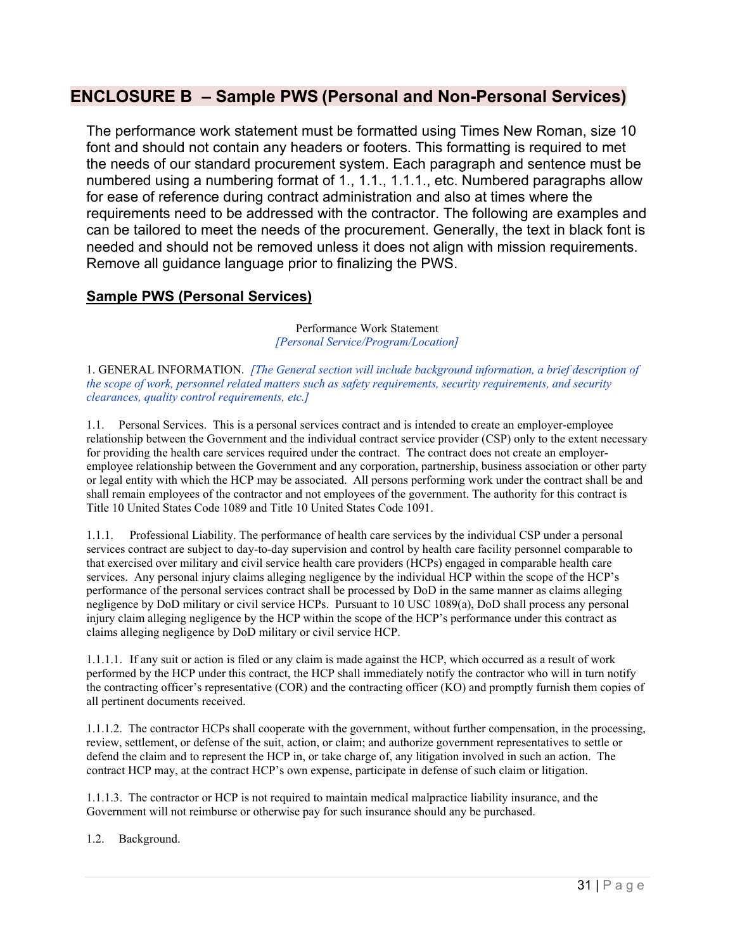# **ENCLOSURE B – Sample PWS (Personal and Non-Personal Services)**

The performance work statement must be formatted using Times New Roman, size 10 font and should not contain any headers or footers. This formatting is required to met the needs of our standard procurement system. Each paragraph and sentence must be numbered using a numbering format of 1., 1.1., 1.1.1., etc. Numbered paragraphs allow for ease of reference during contract administration and also at times where the requirements need to be addressed with the contractor. The following are examples and can be tailored to meet the needs of the procurement. Generally, the text in black font is needed and should not be removed unless it does not align with mission requirements. Remove all guidance language prior to finalizing the PWS.

## **Sample PWS (Personal Services)**

Performance Work Statement *[Personal Service/Program/Location]* 

1. GENERAL INFORMATION. *[The General section will include background information, a brief description of the scope of work, personnel related matters such as safety requirements, security requirements, and security clearances, quality control requirements, etc.]*

1.1. Personal Services. This is a personal services contract and is intended to create an employer-employee relationship between the Government and the individual contract service provider (CSP) only to the extent necessary for providing the health care services required under the contract. The contract does not create an employeremployee relationship between the Government and any corporation, partnership, business association or other party or legal entity with which the HCP may be associated. All persons performing work under the contract shall be and shall remain employees of the contractor and not employees of the government. The authority for this contract is Title 10 United States Code 1089 and Title 10 United States Code 1091.

1.1.1. Professional Liability. The performance of health care services by the individual CSP under a personal services contract are subject to day-to-day supervision and control by health care facility personnel comparable to that exercised over military and civil service health care providers (HCPs) engaged in comparable health care services. Any personal injury claims alleging negligence by the individual HCP within the scope of the HCP's performance of the personal services contract shall be processed by DoD in the same manner as claims alleging negligence by DoD military or civil service HCPs. Pursuant to 10 USC 1089(a), DoD shall process any personal injury claim alleging negligence by the HCP within the scope of the HCP's performance under this contract as claims alleging negligence by DoD military or civil service HCP.

1.1.1.1. If any suit or action is filed or any claim is made against the HCP, which occurred as a result of work performed by the HCP under this contract, the HCP shall immediately notify the contractor who will in turn notify the contracting officer's representative (COR) and the contracting officer (KO) and promptly furnish them copies of all pertinent documents received.

1.1.1.2. The contractor HCPs shall cooperate with the government, without further compensation, in the processing, review, settlement, or defense of the suit, action, or claim; and authorize government representatives to settle or defend the claim and to represent the HCP in, or take charge of, any litigation involved in such an action. The contract HCP may, at the contract HCP's own expense, participate in defense of such claim or litigation.

1.1.1.3. The contractor or HCP is not required to maintain medical malpractice liability insurance, and the Government will not reimburse or otherwise pay for such insurance should any be purchased.

1.2. Background.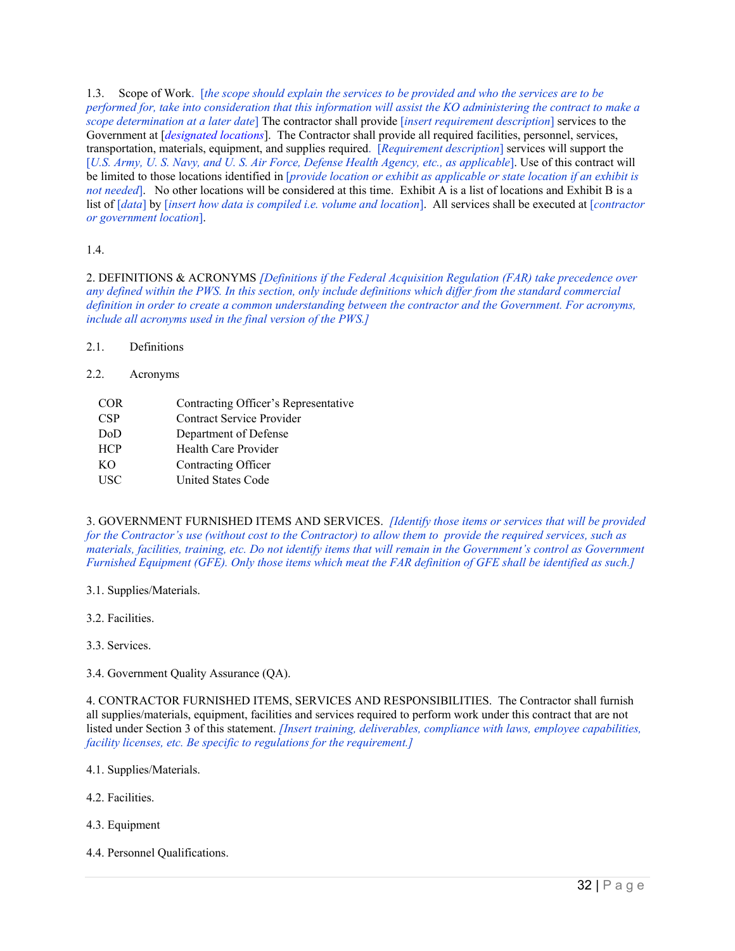1.3. Scope of Work. [*the scope should explain the services to be provided and who the services are to be performed for, take into consideration that this information will assist the KO administering the contract to make a scope determination at a later date*] The contractor shall provide [*insert requirement description*] services to the Government at [*designated locations*]. The Contractor shall provide all required facilities, personnel, services, transportation, materials, equipment, and supplies required. [*Requirement description*] services will support the [*U.S. Army, U. S. Navy, and U. S. Air Force, Defense Health Agency, etc., as applicable*]. Use of this contract will be limited to those locations identified in [*provide location or exhibit as applicable or state location if an exhibit is not needed*. No other locations will be considered at this time. Exhibit A is a list of locations and Exhibit B is a list of [*data*] by [*insert how data is compiled i.e. volume and location*]. All services shall be executed at [*contractor or government location*].

### 1.4.

2. DEFINITIONS & ACRONYMS *[Definitions if the Federal Acquisition Regulation (FAR) take precedence over any defined within the PWS. In this section, only include definitions which differ from the standard commercial definition in order to create a common understanding between the contractor and the Government. For acronyms, include all acronyms used in the final version of the PWS.]*

### 2.1 Definitions

#### 2.2. Acronyms

COR Contracting Officer's Representative CSP Contract Service Provider DoD Department of Defense HCP Health Care Provider KO Contracting Officer USC United States Code

3. GOVERNMENT FURNISHED ITEMS AND SERVICES. *[Identify those items or services that will be provided for the Contractor's use (without cost to the Contractor) to allow them to provide the required services, such as materials, facilities, training, etc. Do not identify items that will remain in the Government's control as Government Furnished Equipment (GFE). Only those items which meat the FAR definition of GFE shall be identified as such.]*

- 3.1. Supplies/Materials.
- 3.2. Facilities.
- 3.3. Services.

3.4. Government Quality Assurance (QA).

4. CONTRACTOR FURNISHED ITEMS, SERVICES AND RESPONSIBILITIES. The Contractor shall furnish all supplies/materials, equipment, facilities and services required to perform work under this contract that are not listed under Section 3 of this statement. *[Insert training, deliverables, compliance with laws, employee capabilities, facility licenses, etc. Be specific to regulations for the requirement.]*

- 4.1. Supplies/Materials.
- 4.2. Facilities.
- 4.3. Equipment
- 4.4. Personnel Qualifications.